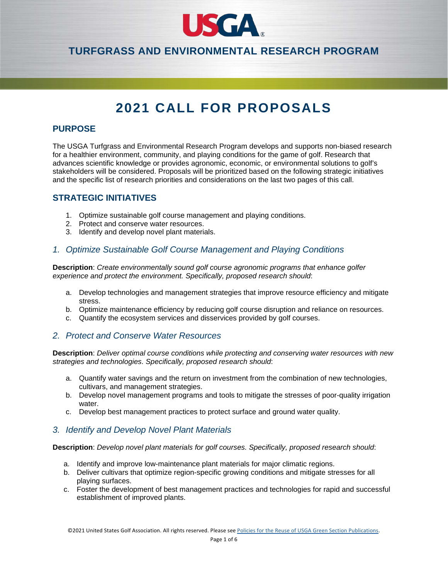

# **TURFGRASS AND ENVIRONMENTAL RESEARCH PROGRAM**

# **2021 CALL FOR PROPOSALS**

## **PURPOSE**

The USGA Turfgrass and Environmental Research Program develops and supports non-biased research for a healthier environment, community, and playing conditions for the game of golf. Research that advances scientific knowledge or provides agronomic, economic, or environmental solutions to golf's stakeholders will be considered. Proposals will be prioritized based on the following strategic initiatives and the specific list of research priorities and considerations on the last two pages of this call.

### **STRATEGIC INITIATIVES**

- 1. Optimize sustainable golf course management and playing conditions.
- 2. Protect and conserve water resources.
- 3. Identify and develop novel plant materials.

### *1. Optimize Sustainable Golf Course Management and Playing Conditions*

**Description**: *Create environmentally sound golf course agronomic programs that enhance golfer experience and protect the environment. Specifically, proposed research should*:

- a. Develop technologies and management strategies that improve resource efficiency and mitigate stress.
- b. Optimize maintenance efficiency by reducing golf course disruption and reliance on resources.
- c. Quantify the ecosystem services and disservices provided by golf courses.

#### *2. Protect and Conserve Water Resources*

**Description**: *Deliver optimal course conditions while protecting and conserving water resources with new strategies and technologies. Specifically, proposed research should*:

- a. Quantify water savings and the return on investment from the combination of new technologies, cultivars, and management strategies.
- b. Develop novel management programs and tools to mitigate the stresses of poor-quality irrigation water.
- c. Develop best management practices to protect surface and ground water quality.

#### *3. Identify and Develop Novel Plant Materials*

**Description**: *Develop novel plant materials for golf courses. Specifically, proposed research should*:

- a. Identify and improve low-maintenance plant materials for major climatic regions.
- b. Deliver cultivars that optimize region-specific growing conditions and mitigate stresses for all playing surfaces.
- c. Foster the development of best management practices and technologies for rapid and successful establishment of improved plants.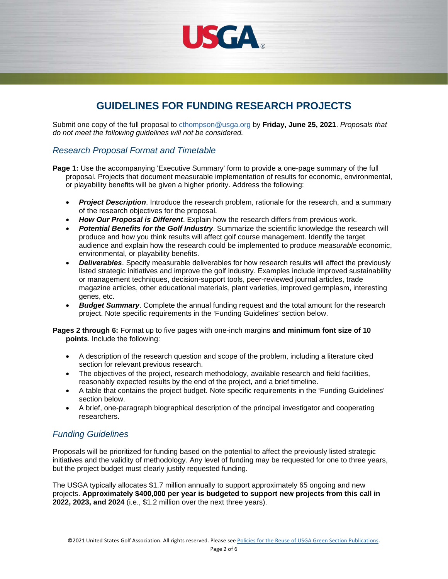

# **GUIDELINES FOR FUNDING RESEARCH PROJECTS**

Submit one copy of the full proposal to [cthompson@usga.org](mailto:cthompson@usga.org) by **Friday, June 25, 2021**. *Proposals that do not meet the following guidelines will not be considered.*

## *Research Proposal Format and Timetable*

- **Page 1:** Use the accompanying 'Executive Summary' form to provide a one-page summary of the full proposal. Projects that document measurable implementation of results for economic, environmental, or playability benefits will be given a higher priority. Address the following:
	- *Project Description*. Introduce the research problem, rationale for the research, and a summary of the research objectives for the proposal.
	- *How Our Proposal is Different*. Explain how the research differs from previous work.
	- *Potential Benefits for the Golf Industry*. Summarize the scientific knowledge the research will produce and how you think results will affect golf course management. Identify the target audience and explain how the research could be implemented to produce *measurable* economic, environmental, or playability benefits.
	- *Deliverables*. Specify measurable deliverables for how research results will affect the previously listed strategic initiatives and improve the golf industry. Examples include improved sustainability or management techniques, decision-support tools, peer-reviewed journal articles, trade magazine articles, other educational materials, plant varieties, improved germplasm, interesting genes, etc.
	- *Budget Summary*. Complete the annual funding request and the total amount for the research project. Note specific requirements in the 'Funding Guidelines' section below.

**Pages 2 through 6:** Format up to five pages with one-inch margins **and minimum font size of 10 points**. Include the following:

- A description of the research question and scope of the problem, including a literature cited section for relevant previous research.
- The objectives of the project, research methodology, available research and field facilities, reasonably expected results by the end of the project, and a brief timeline.
- A table that contains the project budget. Note specific requirements in the 'Funding Guidelines' section below.
- A brief, one-paragraph biographical description of the principal investigator and cooperating researchers.

## *Funding Guidelines*

Proposals will be prioritized for funding based on the potential to affect the previously listed strategic initiatives and the validity of methodology. Any level of funding may be requested for one to three years, but the project budget must clearly justify requested funding.

The USGA typically allocates \$1.7 million annually to support approximately 65 ongoing and new projects. **Approximately \$400,000 per year is budgeted to support new projects from this call in 2022, 2023, and 2024** (i.e., \$1.2 million over the next three years).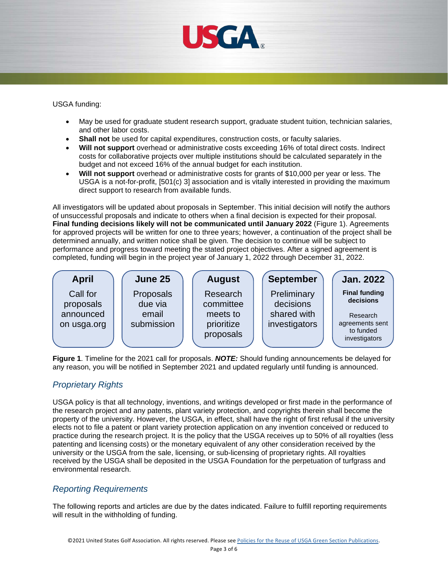

USGA funding:

- May be used for graduate student research support, graduate student tuition, technician salaries, and other labor costs.
- **Shall not** be used for capital expenditures, construction costs, or faculty salaries.
- **Will not support** overhead or administrative costs exceeding 16% of total direct costs. Indirect costs for collaborative projects over multiple institutions should be calculated separately in the budget and not exceed 16% of the annual budget for each institution.
- **Will not support** overhead or administrative costs for grants of \$10,000 per year or less. The USGA is a not-for-profit, [501(c) 3] association and is vitally interested in providing the maximum direct support to research from available funds.

All investigators will be updated about proposals in September. This initial decision will notify the authors of unsuccessful proposals and indicate to others when a final decision is expected for their proposal. **Final funding decisions likely will not be communicated until January 2022** (Figure 1). Agreements for approved projects will be written for one to three years; however, a continuation of the project shall be determined annually, and written notice shall be given. The decision to continue will be subject to performance and progress toward meeting the stated project objectives. After a signed agreement is completed, funding will begin in the project year of January 1, 2022 through December 31, 2022.



**Figure 1**. Timeline for the 2021 call for proposals. *NOTE:* Should funding announcements be delayed for any reason, you will be notified in September 2021 and updated regularly until funding is announced.

# *Proprietary Rights*

USGA policy is that all technology, inventions, and writings developed or first made in the performance of the research project and any patents, plant variety protection, and copyrights therein shall become the property of the university. However, the USGA, in effect, shall have the right of first refusal if the university elects not to file a patent or plant variety protection application on any invention conceived or reduced to practice during the research project. It is the policy that the USGA receives up to 50% of all royalties (less patenting and licensing costs) or the monetary equivalent of any other consideration received by the university or the USGA from the sale, licensing, or sub-licensing of proprietary rights. All royalties received by the USGA shall be deposited in the USGA Foundation for the perpetuation of turfgrass and environmental research.

# *Reporting Requirements*

The following reports and articles are due by the dates indicated. Failure to fulfill reporting requirements will result in the withholding of funding.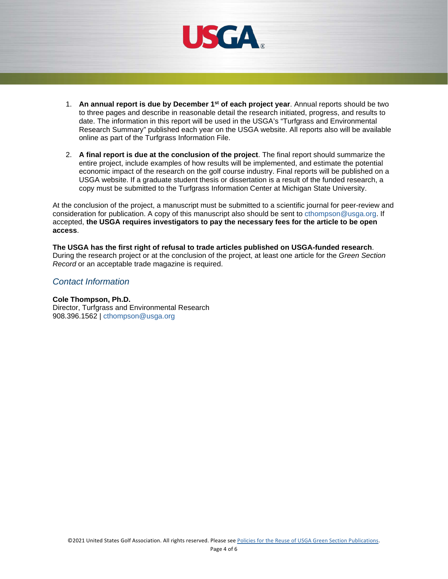

- 1. **An annual report is due by December 1st of each project year**. Annual reports should be two to three pages and describe in reasonable detail the research initiated, progress, and results to date. The information in this report will be used in the USGA's "Turfgrass and Environmental Research Summary" published each year on the USGA website. All reports also will be available online as part of the Turfgrass Information File.
- 2. **A final report is due at the conclusion of the project**. The final report should summarize the entire project, include examples of how results will be implemented, and estimate the potential economic impact of the research on the golf course industry. Final reports will be published on a USGA website. If a graduate student thesis or dissertation is a result of the funded research, a copy must be submitted to the Turfgrass Information Center at Michigan State University.

At the conclusion of the project, a manuscript must be submitted to a scientific journal for peer-review and consideration for publication. A copy of this manuscript also should be sent to [cthompson@usga.org.](mailto:cthompson@usga.org) If accepted, **the USGA requires investigators to pay the necessary fees for the article to be open access**.

**The USGA has the first right of refusal to trade articles published on USGA-funded research**. During the research project or at the conclusion of the project, at least one article for the *Green Section Record* or an acceptable trade magazine is required.

#### *Contact Information*

#### **Cole Thompson, Ph.D.**

Director, Turfgrass and Environmental Research 908.396.1562 | [cthompson@usga.org](mailto:cthompson@usga.org)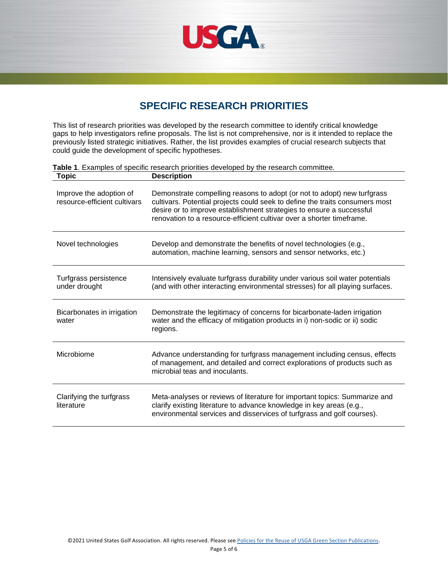

# **SPECIFIC RESEARCH PRIORITIES**

This list of research priorities was developed by the research committee to identify critical knowledge gaps to help investigators refine proposals. The list is not comprehensive, nor is it intended to replace the previously listed strategic initiatives. Rather, the list provides examples of crucial research subjects that could guide the development of specific hypotheses.

| <b>Topic</b>                                            | <b>Description</b>                                                                                                                                                                                                                                                                                       |
|---------------------------------------------------------|----------------------------------------------------------------------------------------------------------------------------------------------------------------------------------------------------------------------------------------------------------------------------------------------------------|
| Improve the adoption of<br>resource-efficient cultivars | Demonstrate compelling reasons to adopt (or not to adopt) new turfgrass<br>cultivars. Potential projects could seek to define the traits consumers most<br>desire or to improve establishment strategies to ensure a successful<br>renovation to a resource-efficient cultivar over a shorter timeframe. |
| Novel technologies                                      | Develop and demonstrate the benefits of novel technologies (e.g.,<br>automation, machine learning, sensors and sensor networks, etc.)                                                                                                                                                                    |
| Turfgrass persistence<br>under drought                  | Intensively evaluate turfgrass durability under various soil water potentials<br>(and with other interacting environmental stresses) for all playing surfaces.                                                                                                                                           |
| Bicarbonates in irrigation<br>water                     | Demonstrate the legitimacy of concerns for bicarbonate-laden irrigation<br>water and the efficacy of mitigation products in i) non-sodic or ii) sodic<br>regions.                                                                                                                                        |
| Microbiome                                              | Advance understanding for turfgrass management including census, effects<br>of management, and detailed and correct explorations of products such as<br>microbial teas and inoculants.                                                                                                                   |
| Clarifying the turfgrass<br>literature                  | Meta-analyses or reviews of literature for important topics: Summarize and<br>clarify existing literature to advance knowledge in key areas (e.g.,<br>environmental services and disservices of turfgrass and golf courses).                                                                             |

**Table 1**. Examples of specific research priorities developed by the research committee.